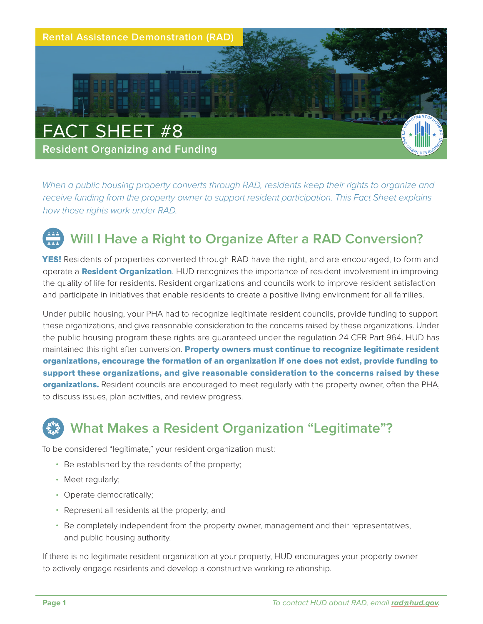

*When a public housing property converts through RAD, residents keep their rights to organize and receive funding from the property owner to support resident participation. This Fact Sheet explains how those rights work under RAD.*

# **Will I Have a Right to Organize After a RAD Conversion?**

**YES!** Residents of properties converted through RAD have the right, and are encouraged, to form and operate a **Resident Organization**. HUD recognizes the importance of resident involvement in improving the quality of life for residents. Resident organizations and councils work to improve resident satisfaction and participate in initiatives that enable residents to create a positive living environment for all families.

Under public housing, your PHA had to recognize legitimate resident councils, provide funding to support these organizations, and give reasonable consideration to the concerns raised by these organizations. Under the public housing program these rights are guaranteed under the regulation 24 CFR Part 964. HUD has maintained this right after conversion. Property owners must continue to recognize legitimate resident organizations, encourage the formation of an organization if one does not exist, provide funding to support these organizations, and give reasonable consideration to the concerns raised by these organizations. Resident councils are encouraged to meet regularly with the property owner, often the PHA, to discuss issues, plan activities, and review progress.

## **What Makes a Resident Organization "Legitimate"?**

To be considered "legitimate," your resident organization must:

- Be established by the residents of the property;
- Meet regularly;
- Operate democratically;
- Represent all residents at the property; and
- Be completely independent from the property owner, management and their representatives, and public housing authority.

If there is no legitimate resident organization at your property, HUD encourages your property owner to actively engage residents and develop a constructive working relationship.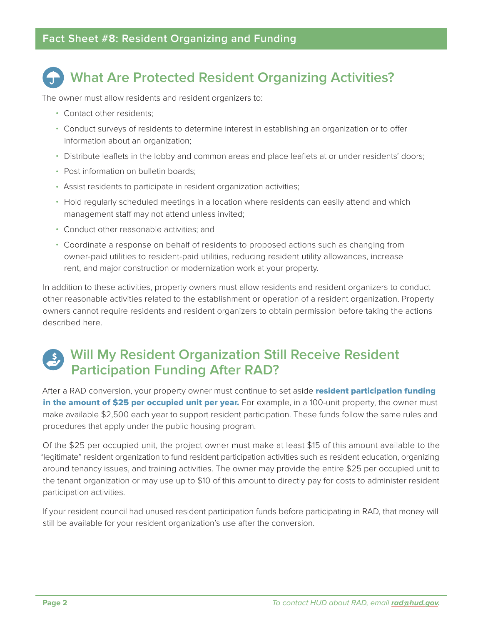# **What Are Protected Resident Organizing Activities?**

The owner must allow residents and resident organizers to:

- Contact other residents;
- Conduct surveys of residents to determine interest in establishing an organization or to offer information about an organization;
- Distribute leaflets in the lobby and common areas and place leaflets at or under residents' doors;
- Post information on bulletin boards;
- Assist residents to participate in resident organization activities;
- Hold regularly scheduled meetings in a location where residents can easily attend and which management staff may not attend unless invited;
- Conduct other reasonable activities; and
- Coordinate a response on behalf of residents to proposed actions such as changing from owner-paid utilities to resident-paid utilities, reducing resident utility allowances, increase rent, and major construction or modernization work at your property.

In addition to these activities, property owners must allow residents and resident organizers to conduct other reasonable activities related to the establishment or operation of a resident organization. Property owners cannot require residents and resident organizers to obtain permission before taking the actions described here.

## **Will My Resident Organization Still Receive Resident Participation Funding After RAD?**

After a RAD conversion, your property owner must continue to set aside resident participation funding in the amount of \$25 per occupied unit per year. For example, in a 100-unit property, the owner must make available \$2,500 each year to support resident participation. These funds follow the same rules and procedures that apply under the public housing program.

Of the \$25 per occupied unit, the project owner must make at least \$15 of this amount available to the "legitimate" resident organization to fund resident participation activities such as resident education, organizing around tenancy issues, and training activities. The owner may provide the entire \$25 per occupied unit to the tenant organization or may use up to \$10 of this amount to directly pay for costs to administer resident participation activities.

If your resident council had unused resident participation funds before participating in RAD, that money will still be available for your resident organization's use after the conversion.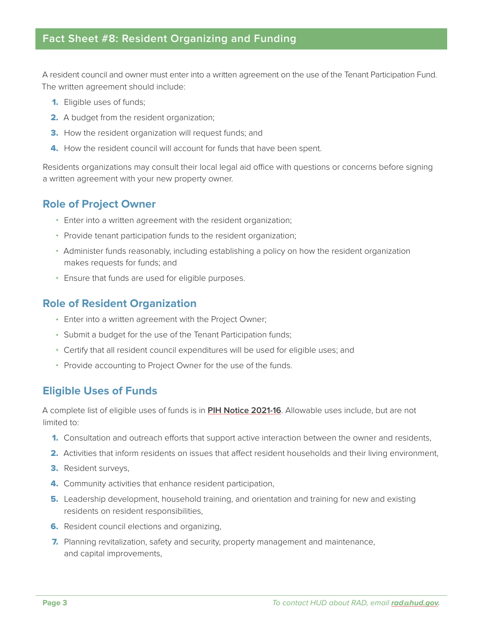### **Fact Sheet #8: Resident Organizing and Funding**

A resident council and owner must enter into a written agreement on the use of the Tenant Participation Fund. The written agreement should include:

- 1. Eligible uses of funds;
- 2. A budget from the resident organization;
- **3.** How the resident organization will request funds; and
- 4. How the resident council will account for funds that have been spent.

Residents organizations may consult their local legal aid office with questions or concerns before signing a written agreement with your new property owner.

### **Role of Project Owner**

- Enter into a written agreement with the resident organization;
- Provide tenant participation funds to the resident organization;
- Administer funds reasonably, including establishing a policy on how the resident organization makes requests for funds; and
- Ensure that funds are used for eligible purposes.

#### **Role of Resident Organization**

- Enter into a written agreement with the Project Owner;
- Submit a budget for the use of the Tenant Participation funds;
- Certify that all resident council expenditures will be used for eligible uses; and
- Provide accounting to Project Owner for the use of the funds.

#### **Eligible Uses of Funds**

A complete list of eligible uses of funds is in **[PIH Notice 2021-16](https://www.hud.gov/sites/dfiles/PIH/documents/PIH2021-16.pdf)**. Allowable uses include, but are not limited to:

- **1.** Consultation and outreach efforts that support active interaction between the owner and residents,
- 2. Activities that inform residents on issues that affect resident households and their living environment,
- 3. Resident surveys,
- **4.** Community activities that enhance resident participation,
- **5.** Leadership development, household training, and orientation and training for new and existing residents on resident responsibilities,
- **6.** Resident council elections and organizing,
- **7.** Planning revitalization, safety and security, property management and maintenance, and capital improvements,